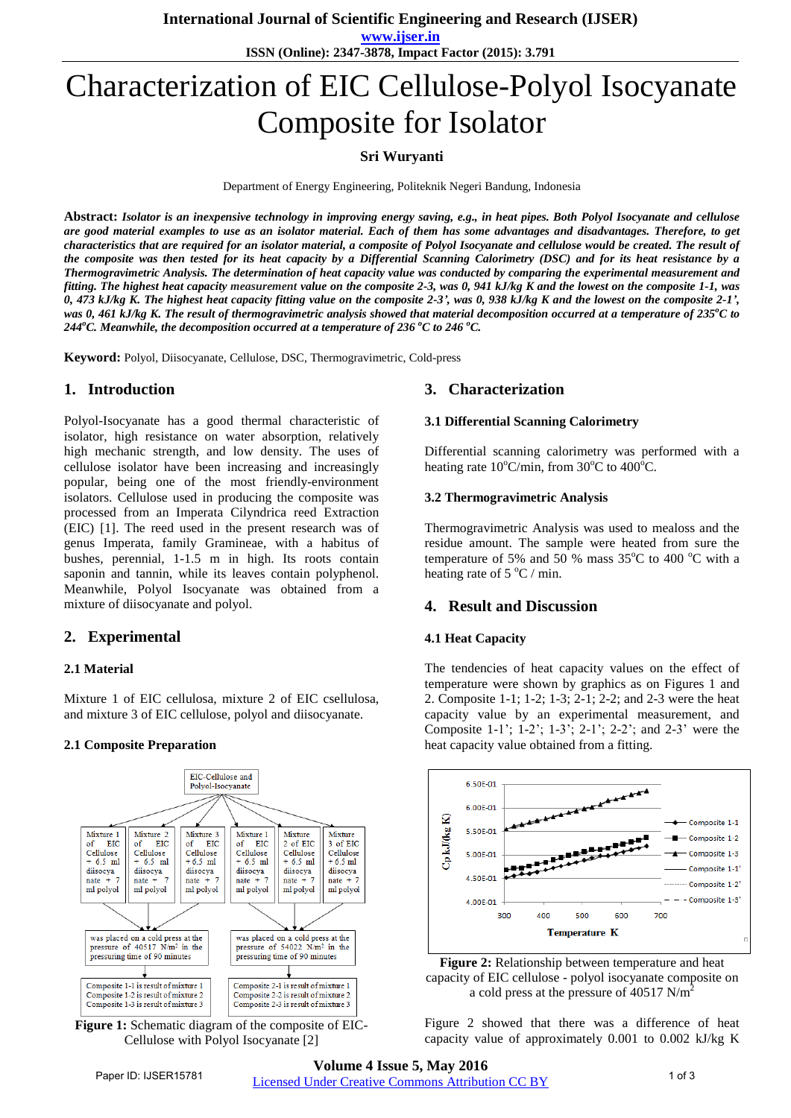**www.ijser.in**

**ISSN (Online): 2347-3878, Impact Factor (2015): 3.791**

# Characterization of EIC Cellulose-Polyol Isocyanate Composite for Isolator

## **Sri Wuryanti**

Department of Energy Engineering, Politeknik Negeri Bandung, Indonesia

**Abstract:** *Isolator is an inexpensive technology in improving energy saving, e.g., in heat pipes. Both Polyol Isocyanate and cellulose are good material examples to use as an isolator material. Each of them has some advantages and disadvantages. Therefore, to get characteristics that are required for an isolator material, a composite of Polyol Isocyanate and cellulose would be created. The result of the composite was then tested for its heat capacity by a Differential Scanning Calorimetry (DSC) and for its heat resistance by a Thermogravimetric Analysis. The determination of heat capacity value was conducted by comparing the experimental measurement and fitting. The highest heat capacity measurement value on the composite 2-3, was 0, 941 kJ/kg K and the lowest on the composite 1-1, was* 0, 473 kJ/kg K. The highest heat capacity fitting value on the composite 2-3', was 0, 938 kJ/kg K and the lowest on the composite 2-1', was 0, 461 kJ/kg K. The result of thermogravimetric analysis showed that material decomposition occurred at a temperature of  $235^{\circ}$ C to *244<sup>o</sup>C. Meanwhile, the decomposition occurred at a temperature of 236 <sup>o</sup>C to 246 <sup>o</sup>C.*

**Keyword:** Polyol, Diisocyanate, Cellulose, DSC, Thermogravimetric, Cold-press

## **1. Introduction**

Polyol-Isocyanate has a good thermal characteristic of isolator, high resistance on water absorption, relatively high mechanic strength, and low density. The uses of cellulose isolator have been increasing and increasingly popular, being one of the most friendly-environment isolators. Cellulose used in producing the composite was processed from an Imperata Cilyndrica reed Extraction (EIC) [1]. The reed used in the present research was of genus Imperata, family Gramineae, with a habitus of bushes, perennial, 1-1.5 m in high. Its roots contain saponin and tannin, while its leaves contain polyphenol. Meanwhile, Polyol Isocyanate was obtained from a mixture of diisocyanate and polyol.

## **2. Experimental**

#### **2.1 Material**

Mixture 1 of EIC cellulosa, mixture 2 of EIC csellulosa, and mixture 3 of EIC cellulose, polyol and diisocyanate.

#### **2.1 Composite Preparation**



**Figure 1:** Schematic diagram of the composite of EIC-Cellulose with Polyol Isocyanate [2]

## **3. Characterization**

#### **3.1 Differential Scanning Calorimetry**

Differential scanning calorimetry was performed with a heating rate  $10^{\circ}$ C/min, from  $30^{\circ}$ C to  $400^{\circ}$ C.

#### **3.2 Thermogravimetric Analysis**

Thermogravimetric Analysis was used to mealoss and the residue amount. The sample were heated from sure the temperature of 5% and 50 % mass  $35^{\circ}$ C to 400 °C with a heating rate of  $5^{\circ}$ C / min.

## **4. Result and Discussion**

#### **4.1 Heat Capacity**

The tendencies of heat capacity values on the effect of temperature were shown by graphics as on Figures 1 and 2. Composite 1-1; 1-2; 1-3; 2-1; 2-2; and 2-3 were the heat capacity value by an experimental measurement, and Composite 1-1'; 1-2'; 1-3'; 2-1'; 2-2'; and 2-3' were the heat capacity value obtained from a fitting.





Figure 2 showed that there was a difference of heat capacity value of approximately 0.001 to 0.002 kJ/kg K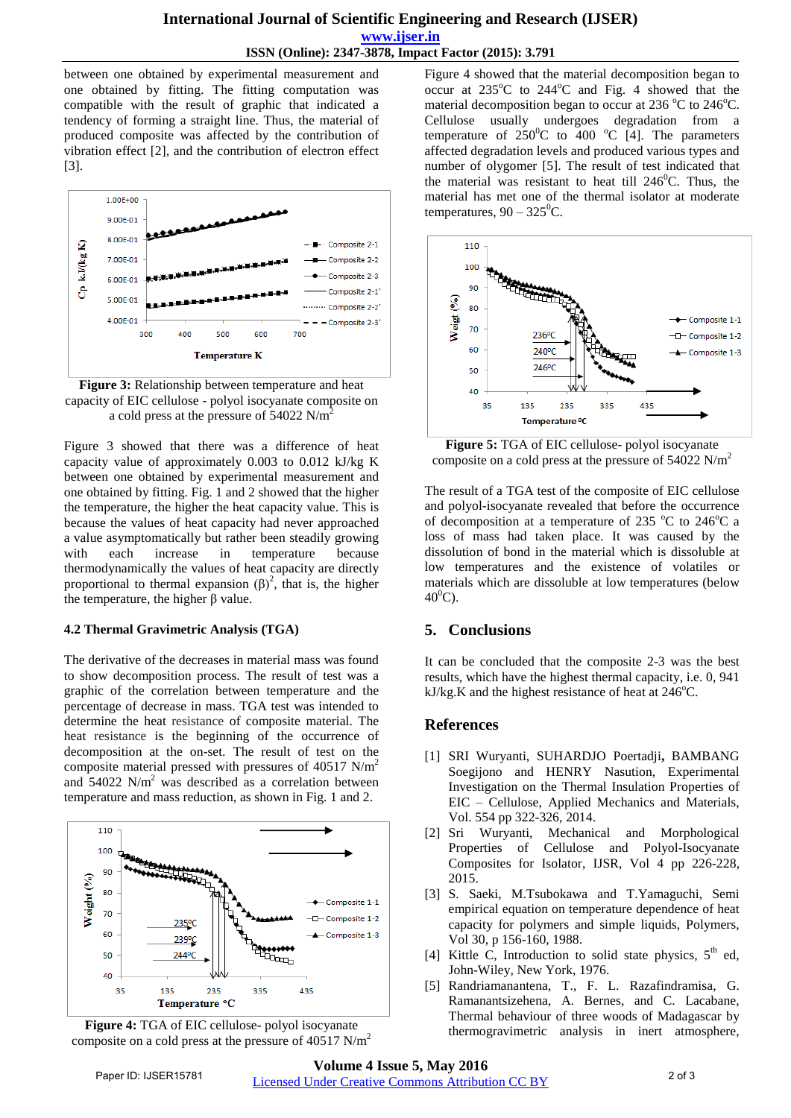between one obtained by experimental measurement and one obtained by fitting. The fitting computation was compatible with the result of graphic that indicated a tendency of forming a straight line. Thus, the material of produced composite was affected by the contribution of vibration effect [2], and the contribution of electron effect [3].



**Figure 3:** Relationship between temperature and heat capacity of EIC cellulose - polyol isocyanate composite on a cold press at the pressure of  $54022$  N/m<sup>2</sup>

Figure 3 showed that there was a difference of heat capacity value of approximately 0.003 to 0.012 kJ/kg K between one obtained by experimental measurement and one obtained by fitting. Fig. 1 and 2 showed that the higher the temperature, the higher the heat capacity value. This is because the values of heat capacity had never approached a value asymptomatically but rather been steadily growing with each increase in temperature because thermodynamically the values of heat capacity are directly proportional to thermal expansion  $(\beta)^2$ , that is, the higher the temperature, the higher β value.

## **4.2 Thermal Gravimetric Analysis (TGA)**

The derivative of the decreases in material mass was found to show decomposition process. The result of test was a graphic of the correlation between temperature and the percentage of decrease in mass. TGA test was intended to determine the heat resistance of composite material. The heat resistance is the beginning of the occurrence of decomposition at the on-set. The result of test on the composite material pressed with pressures of  $40517$  N/m<sup>2</sup> and  $54022$  N/m<sup>2</sup> was described as a correlation between temperature and mass reduction, as shown in Fig. 1 and 2.



**Figure 4:** TGA of EIC cellulose- polyol isocyanate composite on a cold press at the pressure of 40517 N/m<sup>2</sup>

Figure 4 showed that the material decomposition began to occur at  $235^{\circ}$ C to  $244^{\circ}$ C and Fig. 4 showed that the material decomposition began to occur at  $236\,^{\circ}\text{C}$  to  $246\,^{\circ}\text{C}$ . Cellulose usually undergoes degradation from a temperature of  $250^{\circ}$ C to 400 °C [4]. The parameters affected degradation levels and produced various types and number of olygomer [5]. The result of test indicated that the material was resistant to heat till  $246^{\circ}$ C. Thus, the material has met one of the thermal isolator at moderate temperatures,  $90 - 325^{\circ}$ C.



**Figure 5:** TGA of EIC cellulose- polyol isocyanate composite on a cold press at the pressure of  $54022$  N/m<sup>2</sup>

The result of a TGA test of the composite of EIC cellulose and polyol-isocyanate revealed that before the occurrence of decomposition at a temperature of 235  $\mathrm{^{\circ}C}$  to 246 $\mathrm{^{\circ}C}$  a loss of mass had taken place. It was caused by the dissolution of bond in the material which is dissoluble at low temperatures and the existence of volatiles or materials which are dissoluble at low temperatures (below  $40^{\circ}$ C).

# **5. Conclusions**

It can be concluded that the composite 2-3 was the best results, which have the highest thermal capacity, i.e. 0, 941 kJ/kg.K and the highest resistance of heat at  $246^{\circ}$ C.

# **References**

- [1] SRI Wuryanti, SUHARDJO Poertadji**,** BAMBANG Soegijono and HENRY Nasution, Experimental Investigation on the Thermal Insulation Properties of EIC – Cellulose, Applied Mechanics and Materials, Vol. 554 pp 322-326, 2014.
- [2] Sri Wuryanti, Mechanical and Morphological Properties of Cellulose and Polyol-Isocyanate Composites for Isolator, IJSR, Vol 4 pp 226-228, 2015.
- [3] S. Saeki, M.Tsubokawa and T.Yamaguchi, Semi empirical equation on temperature dependence of heat capacity for polymers and simple liquids, Polymers, Vol 30, p 156-160, 1988.
- [4] Kittle C, Introduction to solid state physics,  $5<sup>th</sup>$  ed, John-Wiley, New York, 1976.
- [5] Randriamanantena, T., F. L. Razafindramisa, G. Ramanantsizehena, A. Bernes, and C. Lacabane, Thermal behaviour of three woods of Madagascar by thermogravimetric analysis in inert atmosphere,